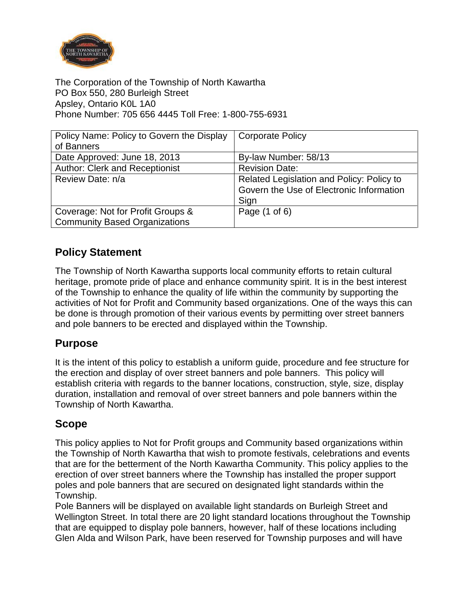

The Corporation of the Township of North Kawartha PO Box 550, 280 Burleigh Street Apsley, Ontario K0L 1A0 Phone Number: 705 656 4445 Toll Free: 1-800-755-6931

| Policy Name: Policy to Govern the Display | <b>Corporate Policy</b>                   |
|-------------------------------------------|-------------------------------------------|
| of Banners                                |                                           |
| Date Approved: June 18, 2013              | By-law Number: 58/13                      |
| Author: Clerk and Receptionist            | <b>Revision Date:</b>                     |
| Review Date: n/a                          | Related Legislation and Policy: Policy to |
|                                           | Govern the Use of Electronic Information  |
|                                           | Sign                                      |
| Coverage: Not for Profit Groups &         | Page (1 of 6)                             |
| <b>Community Based Organizations</b>      |                                           |

# **Policy Statement**

The Township of North Kawartha supports local community efforts to retain cultural heritage, promote pride of place and enhance community spirit. It is in the best interest of the Township to enhance the quality of life within the community by supporting the activities of Not for Profit and Community based organizations. One of the ways this can be done is through promotion of their various events by permitting over street banners and pole banners to be erected and displayed within the Township.

### **Purpose**

It is the intent of this policy to establish a uniform guide, procedure and fee structure for the erection and display of over street banners and pole banners. This policy will establish criteria with regards to the banner locations, construction, style, size, display duration, installation and removal of over street banners and pole banners within the Township of North Kawartha.

### **Scope**

This policy applies to Not for Profit groups and Community based organizations within the Township of North Kawartha that wish to promote festivals, celebrations and events that are for the betterment of the North Kawartha Community. This policy applies to the erection of over street banners where the Township has installed the proper support poles and pole banners that are secured on designated light standards within the Township.

Pole Banners will be displayed on available light standards on Burleigh Street and Wellington Street. In total there are 20 light standard locations throughout the Township that are equipped to display pole banners, however, half of these locations including Glen Alda and Wilson Park, have been reserved for Township purposes and will have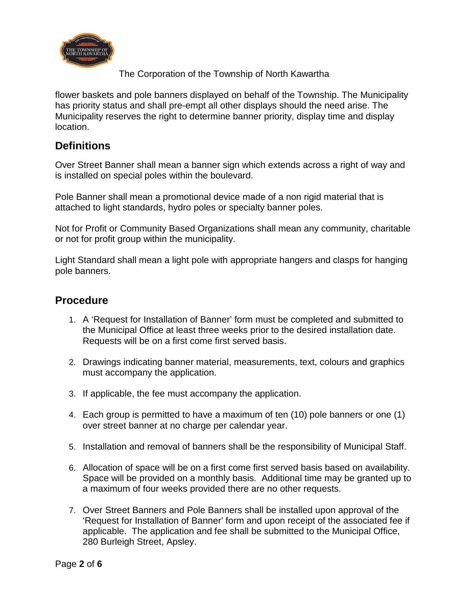

flower baskets and pole banners displayed on behalf of the Township. The Municipality has priority status and shall pre-empt all other displays should the need arise. The Municipality reserves the right to determine banner priority, display time and display location.

## **Definitions**

Over Street Banner shall mean a banner sign which extends across a right of way and is installed on special poles within the boulevard.

Pole Banner shall mean a promotional device made of a non rigid material that is attached to light standards, hydro poles or specialty banner poles.

Not for Profit or Community Based Organizations shall mean any community, charitable or not for profit group within the municipality.

Light Standard shall mean a light pole with appropriate hangers and clasps for hanging pole banners.

### **Procedure**

- 1. A 'Request for Installation of Banner' form must be completed and submitted to the Municipal Office at least three weeks prior to the desired installation date. Requests will be on a first come first served basis.
- 2. Drawings indicating banner material, measurements, text, colours and graphics must accompany the application.
- 3. If applicable, the fee must accompany the application.
- 4. Each group is permitted to have a maximum of ten (10) pole banners or one (1) over street banner at no charge per calendar year.
- 5. Installation and removal of banners shall be the responsibility of Municipal Staff.
- 6. Allocation of space will be on a first come first served basis based on availability. Space will be provided on a monthly basis. Additional time may be granted up to a maximum of four weeks provided there are no other requests.
- 7. Over Street Banners and Pole Banners shall be installed upon approval of the 'Request for Installation of Banner' form and upon receipt of the associated fee if applicable. The application and fee shall be submitted to the Municipal Office, 280 Burleigh Street, Apsley.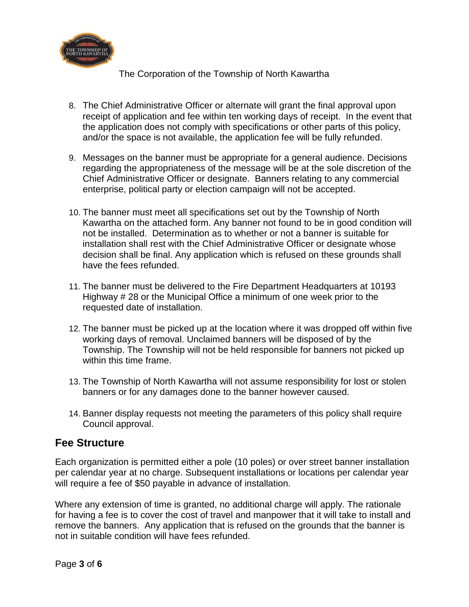

- 8. The Chief Administrative Officer or alternate will grant the final approval upon receipt of application and fee within ten working days of receipt. In the event that the application does not comply with specifications or other parts of this policy, and/or the space is not available, the application fee will be fully refunded.
- 9. Messages on the banner must be appropriate for a general audience. Decisions regarding the appropriateness of the message will be at the sole discretion of the Chief Administrative Officer or designate. Banners relating to any commercial enterprise, political party or election campaign will not be accepted.
- 10. The banner must meet all specifications set out by the Township of North Kawartha on the attached form. Any banner not found to be in good condition will not be installed. Determination as to whether or not a banner is suitable for installation shall rest with the Chief Administrative Officer or designate whose decision shall be final. Any application which is refused on these grounds shall have the fees refunded.
- 11. The banner must be delivered to the Fire Department Headquarters at 10193 Highway # 28 or the Municipal Office a minimum of one week prior to the requested date of installation.
- 12. The banner must be picked up at the location where it was dropped off within five working days of removal. Unclaimed banners will be disposed of by the Township. The Township will not be held responsible for banners not picked up within this time frame.
- 13. The Township of North Kawartha will not assume responsibility for lost or stolen banners or for any damages done to the banner however caused.
- 14. Banner display requests not meeting the parameters of this policy shall require Council approval.

### **Fee Structure**

Each organization is permitted either a pole (10 poles) or over street banner installation per calendar year at no charge. Subsequent installations or locations per calendar year will require a fee of \$50 payable in advance of installation.

Where any extension of time is granted, no additional charge will apply. The rationale for having a fee is to cover the cost of travel and manpower that it will take to install and remove the banners. Any application that is refused on the grounds that the banner is not in suitable condition will have fees refunded.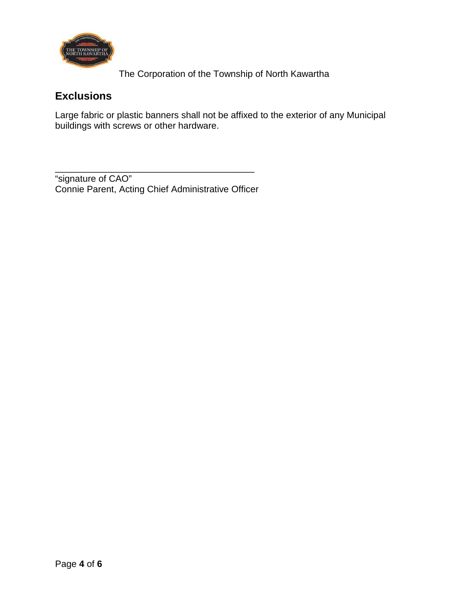

# **Exclusions**

Large fabric or plastic banners shall not be affixed to the exterior of any Municipal buildings with screws or other hardware.

\_\_\_\_\_\_\_\_\_\_\_\_\_\_\_\_\_\_\_\_\_\_\_\_\_\_\_\_\_\_\_\_\_\_\_\_\_\_\_ "signature of CAO" Connie Parent, Acting Chief Administrative Officer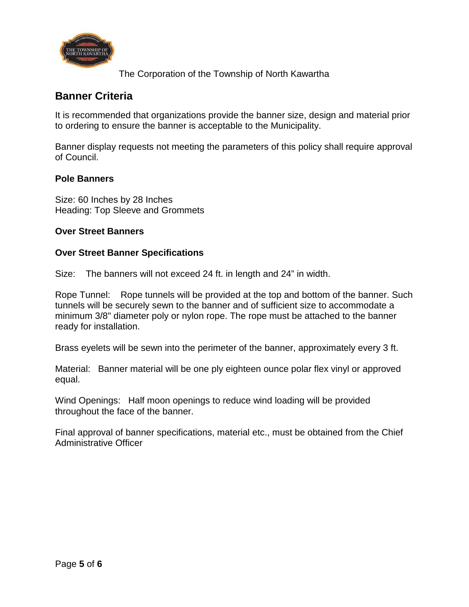

## **Banner Criteria**

It is recommended that organizations provide the banner size, design and material prior to ordering to ensure the banner is acceptable to the Municipality.

Banner display requests not meeting the parameters of this policy shall require approval of Council.

#### **Pole Banners**

Size: 60 Inches by 28 Inches Heading: Top Sleeve and Grommets

#### **Over Street Banners**

#### **Over Street Banner Specifications**

Size: The banners will not exceed 24 ft. in length and 24" in width.

Rope Tunnel: Rope tunnels will be provided at the top and bottom of the banner. Such tunnels will be securely sewn to the banner and of sufficient size to accommodate a minimum 3/8" diameter poly or nylon rope. The rope must be attached to the banner ready for installation.

Brass eyelets will be sewn into the perimeter of the banner, approximately every 3 ft.

Material: Banner material will be one ply eighteen ounce polar flex vinyl or approved equal.

Wind Openings: Half moon openings to reduce wind loading will be provided throughout the face of the banner.

Final approval of banner specifications, material etc., must be obtained from the Chief Administrative Officer